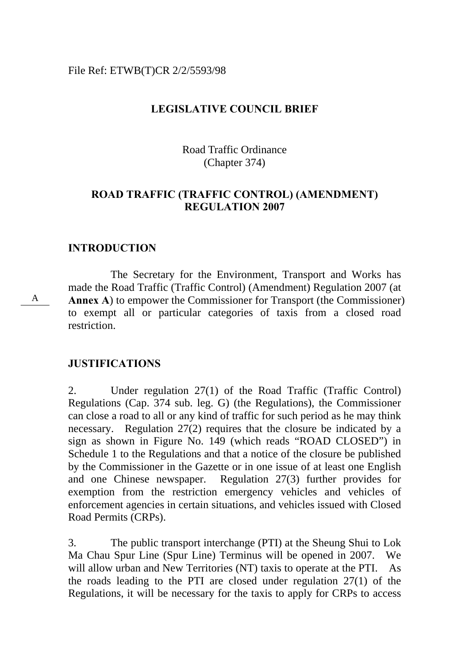#### File Ref: ETWB(T)CR 2/2/5593/98

### **LEGISLATIVE COUNCIL BRIEF**

Road Traffic Ordinance (Chapter 374)

### **ROAD TRAFFIC (TRAFFIC CONTROL) (AMENDMENT) REGULATION 2007**

#### **INTRODUCTION**

A

The Secretary for the Environment, Transport and Works has made the Road Traffic (Traffic Control) (Amendment) Regulation 2007 (at **Annex A**) to empower the Commissioner for Transport (the Commissioner) to exempt all or particular categories of taxis from a closed road restriction.

#### **JUSTIFICATIONS**

2. Under regulation 27(1) of the Road Traffic (Traffic Control) Regulations (Cap. 374 sub. leg. G) (the Regulations), the Commissioner can close a road to all or any kind of traffic for such period as he may think necessary. Regulation 27(2) requires that the closure be indicated by a sign as shown in Figure No. 149 (which reads "ROAD CLOSED") in Schedule 1 to the Regulations and that a notice of the closure be published by the Commissioner in the Gazette or in one issue of at least one English and one Chinese newspaper. Regulation 27(3) further provides for exemption from the restriction emergency vehicles and vehicles of enforcement agencies in certain situations, and vehicles issued with Closed Road Permits (CRPs).

3. The public transport interchange (PTI) at the Sheung Shui to Lok Ma Chau Spur Line (Spur Line) Terminus will be opened in 2007. We will allow urban and New Territories (NT) taxis to operate at the PTI. As the roads leading to the PTI are closed under regulation 27(1) of the Regulations, it will be necessary for the taxis to apply for CRPs to access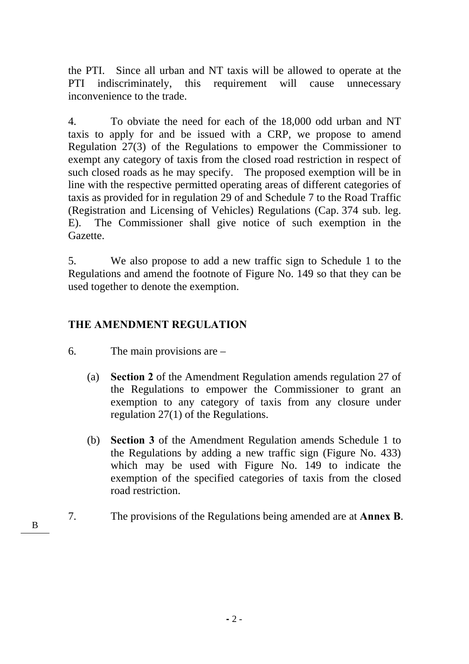the PTI. Since all urban and NT taxis will be allowed to operate at the PTI indiscriminately, this requirement will cause unnecessary inconvenience to the trade.

4. To obviate the need for each of the 18,000 odd urban and NT taxis to apply for and be issued with a CRP, we propose to amend Regulation 27(3) of the Regulations to empower the Commissioner to exempt any category of taxis from the closed road restriction in respect of such closed roads as he may specify. The proposed exemption will be in line with the respective permitted operating areas of different categories of taxis as provided for in regulation 29 of and Schedule 7 to the Road Traffic (Registration and Licensing of Vehicles) Regulations (Cap. 374 sub. leg. E). The Commissioner shall give notice of such exemption in the Gazette.

5. We also propose to add a new traffic sign to Schedule 1 to the Regulations and amend the footnote of Figure No. 149 so that they can be used together to denote the exemption.

## **THE AMENDMENT REGULATION**

- 6. The main provisions are
	- (a) **Section 2** of the Amendment Regulation amends regulation 27 of the Regulations to empower the Commissioner to grant an exemption to any category of taxis from any closure under regulation 27(1) of the Regulations.
	- (b) **Section 3** of the Amendment Regulation amends Schedule 1 to the Regulations by adding a new traffic sign (Figure No. 433) which may be used with Figure No. 149 to indicate the exemption of the specified categories of taxis from the closed road restriction.
- 7. The provisions of the Regulations being amended are at **Annex B**. B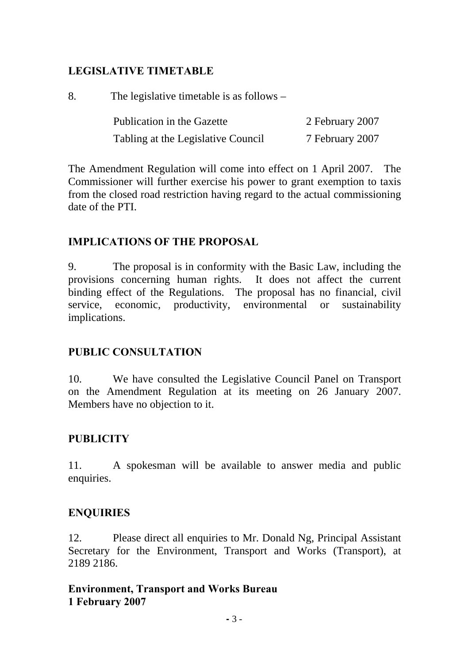## **LEGISLATIVE TIMETABLE**

8. The legislative timetable is as follows – Publication in the Gazette 2 February 2007 Tabling at the Legislative Council 7 February 2007

The Amendment Regulation will come into effect on 1 April 2007. The Commissioner will further exercise his power to grant exemption to taxis from the closed road restriction having regard to the actual commissioning date of the PTI.

## **IMPLICATIONS OF THE PROPOSAL**

9. The proposal is in conformity with the Basic Law, including the provisions concerning human rights. It does not affect the current binding effect of the Regulations. The proposal has no financial, civil service, economic, productivity, environmental or sustainability implications.

## **PUBLIC CONSULTATION**

10. We have consulted the Legislative Council Panel on Transport on the Amendment Regulation at its meeting on 26 January 2007. Members have no objection to it.

## **PUBLICITY**

11. A spokesman will be available to answer media and public enquiries.

## **ENQUIRIES**

12. Please direct all enquiries to Mr. Donald Ng, Principal Assistant Secretary for the Environment, Transport and Works (Transport), at 2189 2186.

## **Environment, Transport and Works Bureau 1 February 2007**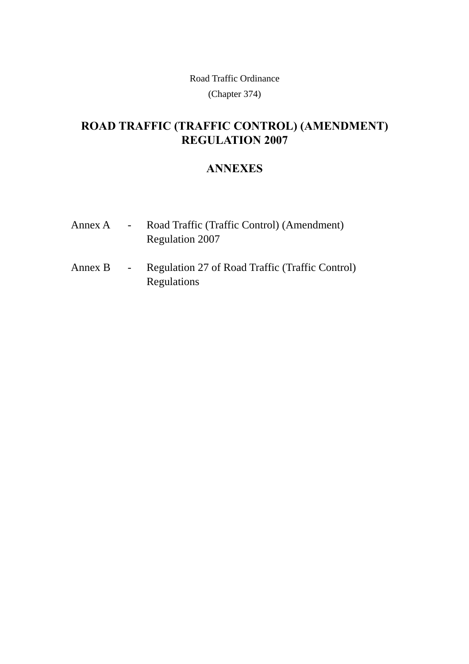Road Traffic Ordinance

(Chapter 374)

# **ROAD TRAFFIC (TRAFFIC CONTROL) (AMENDMENT) REGULATION 2007**

## **ANNEXES**

| Annex A | $\sim$ $-$ | Road Traffic (Traffic Control) (Amendment) |
|---------|------------|--------------------------------------------|
|         |            | Regulation 2007                            |

Annex B - Regulation 27 of Road Traffic (Traffic Control) Regulations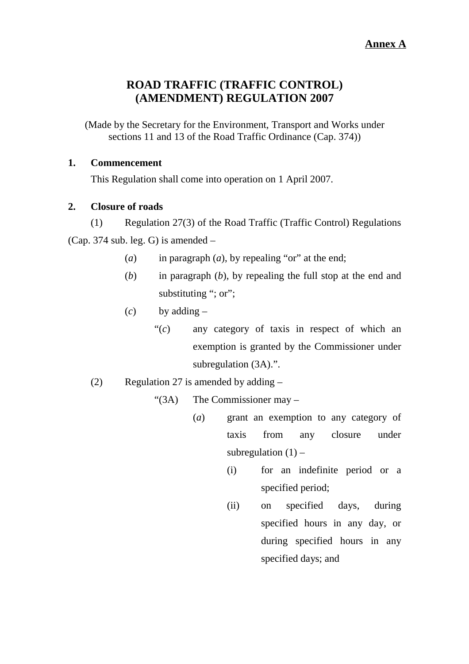## **ROAD TRAFFIC (TRAFFIC CONTROL) (AMENDMENT) REGULATION 2007**

(Made by the Secretary for the Environment, Transport and Works under sections 11 and 13 of the Road Traffic Ordinance (Cap. 374))

### **1. Commencement**

This Regulation shall come into operation on 1 April 2007.

### **2. Closure of roads**

(1) Regulation 27(3) of the Road Traffic (Traffic Control) Regulations (Cap. 374 sub. leg. G) is amended  $-$ 

- (*a*) in paragraph (*a*), by repealing "or" at the end;
- (*b*) in paragraph (*b*), by repealing the full stop at the end and substituting "; or";
- (*c*) by adding
	- "(*c*) any category of taxis in respect of which an exemption is granted by the Commissioner under subregulation (3A).".
- (2) Regulation 27 is amended by adding –

"(3A) The Commissioner may –

- (*a*) grant an exemption to any category of taxis from any closure under subregulation  $(1)$  –
	- (i) for an indefinite period or a specified period;
	- (ii) on specified days, during specified hours in any day, or during specified hours in any specified days; and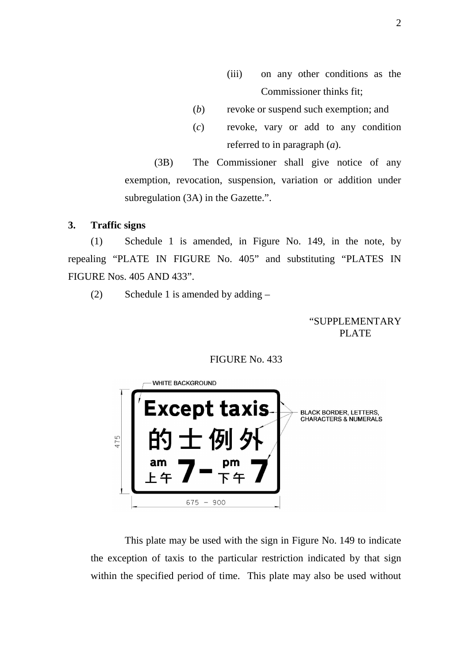- (iii) on any other conditions as the Commissioner thinks fit;
- (*b*) revoke or suspend such exemption; and
- (*c*) revoke, vary or add to any condition referred to in paragraph (*a*).

(3B) The Commissioner shall give notice of any exemption, revocation, suspension, variation or addition under subregulation (3A) in the Gazette.".

#### **3. Traffic signs**

(1) Schedule 1 is amended, in Figure No. 149, in the note, by repealing "PLATE IN FIGURE No. 405" and substituting "PLATES IN FIGURE Nos. 405 AND 433".

(2) Schedule 1 is amended by adding –

#### "SUPPLEMENTARY PLATE PLATE

#### FIGURE No. 433



 This plate may be used with the sign in Figure No. 149 to indicate the exception of taxis to the particular restriction indicated by that sign within the specified period of time. This plate may also be used without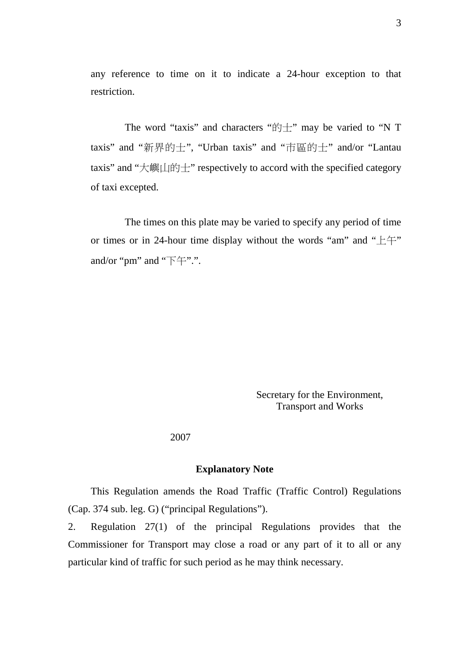any reference to time on it to indicate a 24-hour exception to that restriction.

The word "taxis" and characters " $\uparrow\uparrow$ " may be varied to "N T taxis" and "新界的士", "Urban taxis" and "市區的士" and/or "Lantau taxis" and "大嶼山的士" respectively to accord with the specified category of taxi excepted.

 The times on this plate may be varied to specify any period of time or times or in 24-hour time display without the words "am" and " $\pm \pm$ " and/or "pm" and "下午".".

> Secretary for the Environment, Transport and Works

#### 2007

#### **Explanatory Note**

This Regulation amends the Road Traffic (Traffic Control) Regulations (Cap. 374 sub. leg. G) ("principal Regulations").

2. Regulation 27(1) of the principal Regulations provides that the Commissioner for Transport may close a road or any part of it to all or any particular kind of traffic for such period as he may think necessary.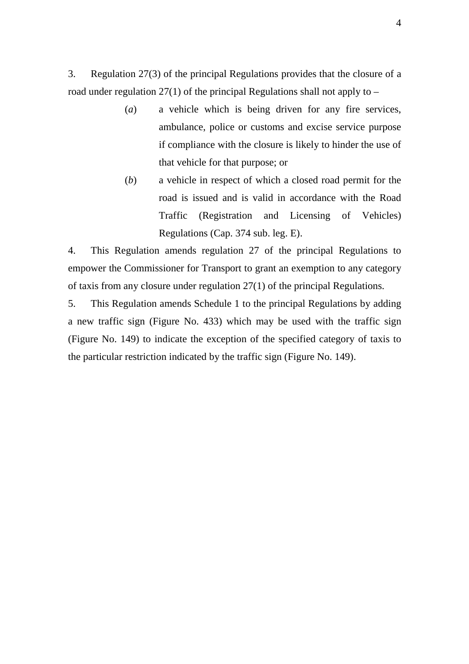3. Regulation 27(3) of the principal Regulations provides that the closure of a road under regulation  $27(1)$  of the principal Regulations shall not apply to –

- (*a*) a vehicle which is being driven for any fire services, ambulance, police or customs and excise service purpose if compliance with the closure is likely to hinder the use of that vehicle for that purpose; or
- (*b*) a vehicle in respect of which a closed road permit for the road is issued and is valid in accordance with the Road Traffic (Registration and Licensing of Vehicles) Regulations (Cap. 374 sub. leg. E).

4. This Regulation amends regulation 27 of the principal Regulations to empower the Commissioner for Transport to grant an exemption to any category of taxis from any closure under regulation 27(1) of the principal Regulations.

5. This Regulation amends Schedule 1 to the principal Regulations by adding a new traffic sign (Figure No. 433) which may be used with the traffic sign (Figure No. 149) to indicate the exception of the specified category of taxis to the particular restriction indicated by the traffic sign (Figure No. 149).